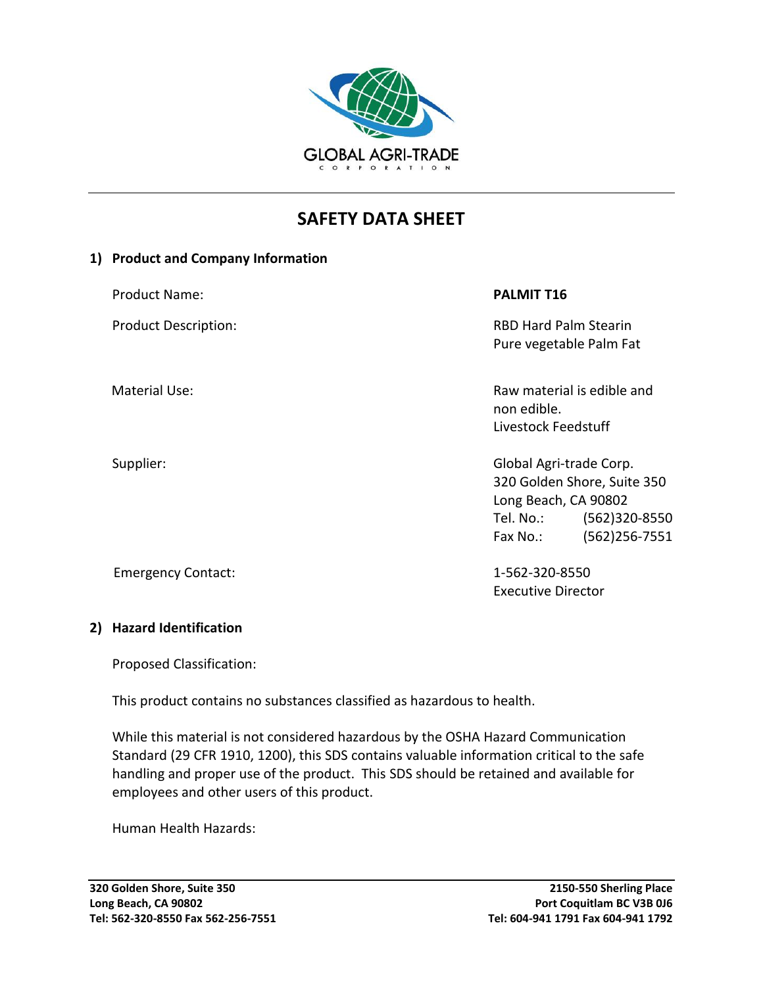

# **SAFETY DATA SHEET**

#### **1) Product and Company Information**

| <b>Product Name:</b>        | <b>PALMIT T16</b>                                                                                                                         |
|-----------------------------|-------------------------------------------------------------------------------------------------------------------------------------------|
| <b>Product Description:</b> | <b>RBD Hard Palm Stearin</b><br>Pure vegetable Palm Fat                                                                                   |
| <b>Material Use:</b>        | Raw material is edible and<br>non edible.<br>Livestock Feedstuff                                                                          |
| Supplier:                   | Global Agri-trade Corp.<br>320 Golden Shore, Suite 350<br>Long Beach, CA 90802<br>(562)320-8550<br>Tel. No.:<br>(562)256-7551<br>Fax No.: |

Emergency Contact: 1-562-320-8550

# **2) Hazard Identification**

Proposed Classification:

This product contains no substances classified as hazardous to health.

While this material is not considered hazardous by the OSHA Hazard Communication Standard (29 CFR 1910, 1200), this SDS contains valuable information critical to the safe handling and proper use of the product. This SDS should be retained and available for employees and other users of this product.

Human Health Hazards:

Executive Director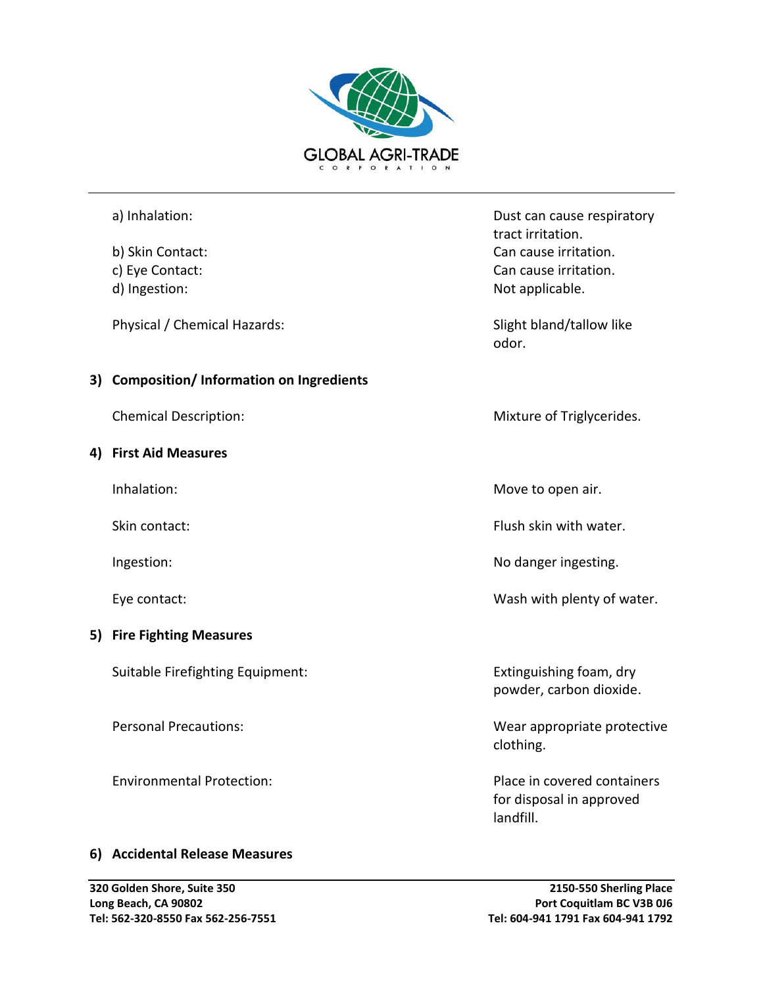

|    | a) Inhalation:                                | Dust can cause respiratory                                           |
|----|-----------------------------------------------|----------------------------------------------------------------------|
|    |                                               | tract irritation.                                                    |
|    | b) Skin Contact:                              | Can cause irritation.                                                |
|    | c) Eye Contact:                               | Can cause irritation.                                                |
|    | d) Ingestion:                                 | Not applicable.                                                      |
|    | Physical / Chemical Hazards:                  | Slight bland/tallow like<br>odor.                                    |
| 3) | <b>Composition/Information on Ingredients</b> |                                                                      |
|    | <b>Chemical Description:</b>                  | Mixture of Triglycerides.                                            |
| 4) | <b>First Aid Measures</b>                     |                                                                      |
|    | Inhalation:                                   | Move to open air.                                                    |
|    | Skin contact:                                 | Flush skin with water.                                               |
|    | Ingestion:                                    | No danger ingesting.                                                 |
|    | Eye contact:                                  | Wash with plenty of water.                                           |
| 5) | <b>Fire Fighting Measures</b>                 |                                                                      |
|    | Suitable Firefighting Equipment:              | Extinguishing foam, dry<br>powder, carbon dioxide.                   |
|    | <b>Personal Precautions:</b>                  | Wear appropriate protective<br>clothing.                             |
|    | <b>Environmental Protection:</b>              | Place in covered containers<br>for disposal in approved<br>landfill. |
|    | 6) Accidental Release Measures                |                                                                      |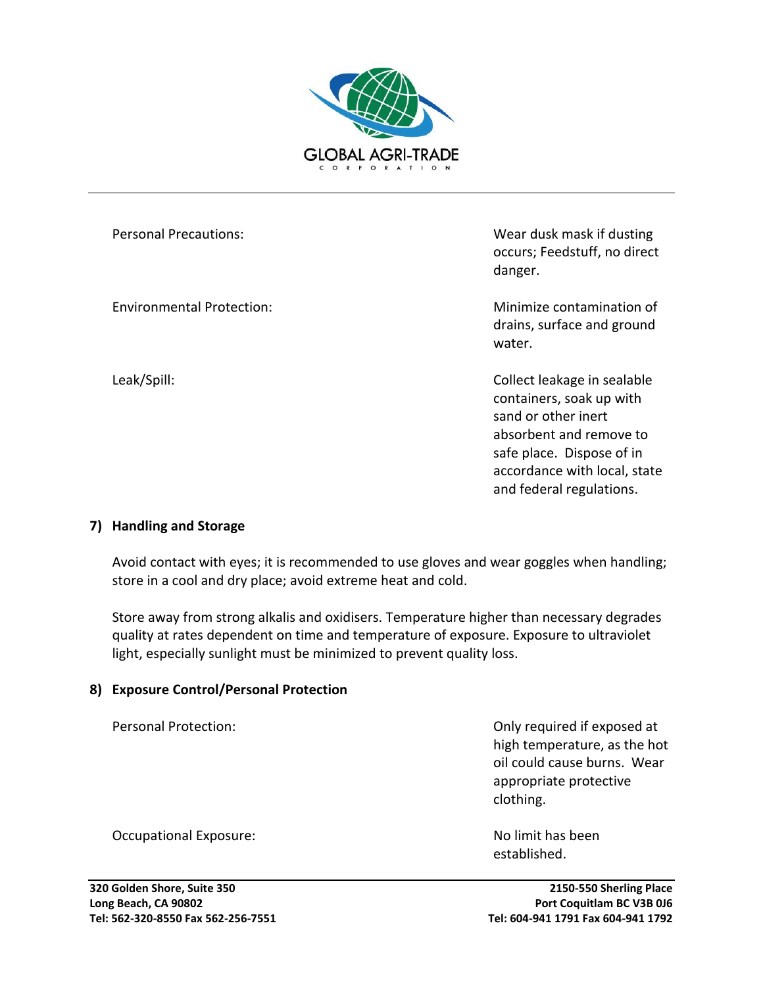

Personal Precautions: Wear dusk mask if dusting occurs; Feedstuff, no direct danger.

Environmental Protection: Minimize contamination of drains, surface and ground water.

Leak/Spill: Collect leakage in sealable containers, soak up with sand or other inert absorbent and remove to safe place. Dispose of in accordance with local, state and federal regulations.

#### **7) Handling and Storage**

Avoid contact with eyes; it is recommended to use gloves and wear goggles when handling; store in a cool and dry place; avoid extreme heat and cold.

Store away from strong alkalis and oxidisers. Temperature higher than necessary degrades quality at rates dependent on time and temperature of exposure. Exposure to ultraviolet light, especially sunlight must be minimized to prevent quality loss.

#### **8) Exposure Control/Personal Protection**

Personal Protection: Only required if exposed at high temperature, as the hot oil could cause burns. Wear appropriate protective clothing.

established.

Occupational Exposure: No limit has been

**320 Golden Shore, Suite 350 2150-550 Sherling Place Long Beach, CA 90802 Port Coquitlam BC V3B 0J6 Tel: 562-320-8550 Fax 562-256-7551 Tel: 604-941 1791 Fax 604-941 1792**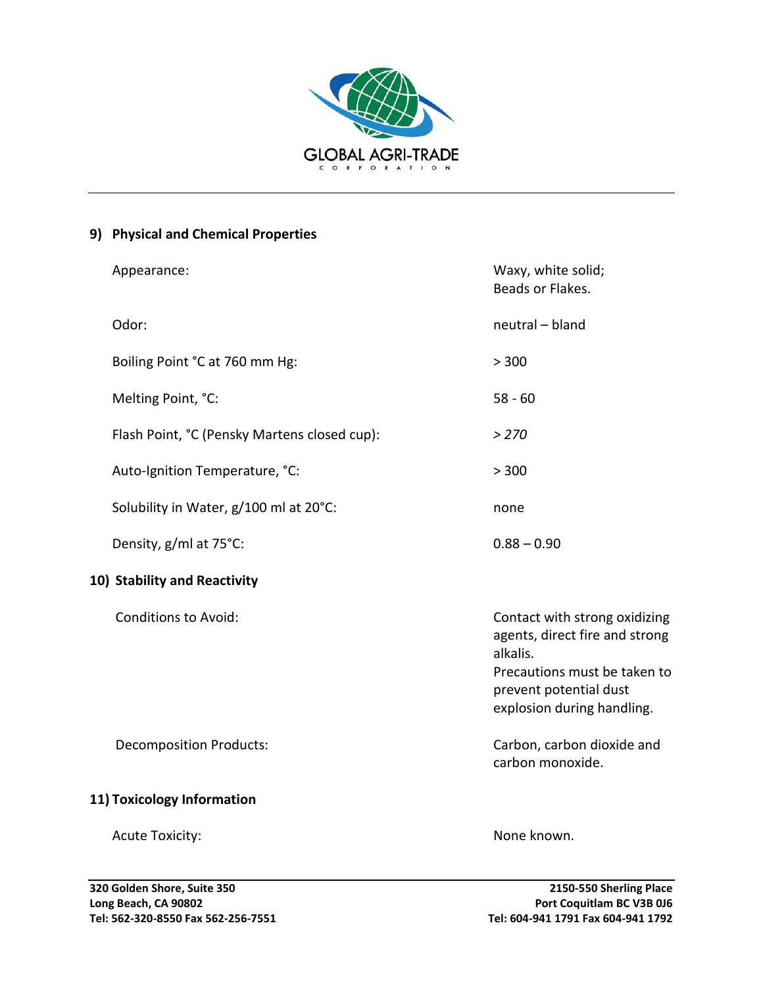

# **9) Physical and Chemical Properties**

|                              | Appearance:                                  | Waxy, white solid;<br>Beads or Flakes.                                                                                                                              |  |  |
|------------------------------|----------------------------------------------|---------------------------------------------------------------------------------------------------------------------------------------------------------------------|--|--|
|                              | Odor:                                        | neutral - bland                                                                                                                                                     |  |  |
|                              | Boiling Point °C at 760 mm Hg:               | > 300                                                                                                                                                               |  |  |
|                              | Melting Point, °C:                           | $58 - 60$                                                                                                                                                           |  |  |
|                              | Flash Point, °C (Pensky Martens closed cup): | > 270                                                                                                                                                               |  |  |
|                              | Auto-Ignition Temperature, °C:               | > 300                                                                                                                                                               |  |  |
|                              | Solubility in Water, g/100 ml at 20°C:       | none                                                                                                                                                                |  |  |
|                              | Density, g/ml at 75°C:                       | $0.88 - 0.90$                                                                                                                                                       |  |  |
| 10) Stability and Reactivity |                                              |                                                                                                                                                                     |  |  |
|                              | <b>Conditions to Avoid:</b>                  | Contact with strong oxidizing<br>agents, direct fire and strong<br>alkalis.<br>Precautions must be taken to<br>prevent potential dust<br>explosion during handling. |  |  |
|                              | <b>Decomposition Products:</b>               | Carbon, carbon dioxide and<br>carbon monoxide.                                                                                                                      |  |  |
| 11) Toxicology Information   |                                              |                                                                                                                                                                     |  |  |
|                              | <b>Acute Toxicity:</b>                       | None known.                                                                                                                                                         |  |  |
|                              |                                              |                                                                                                                                                                     |  |  |